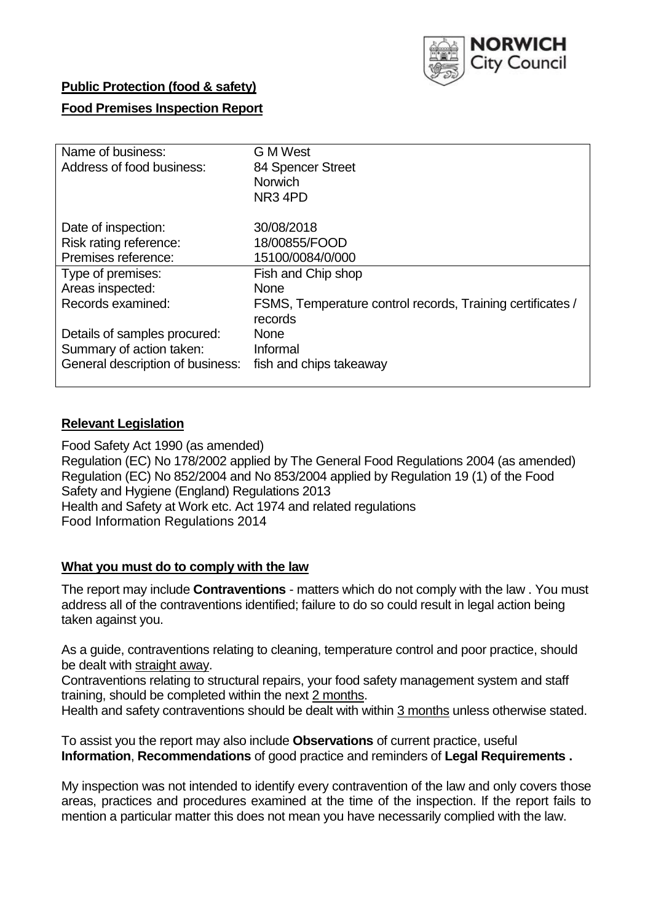

# **Public Protection (food & safety)**

# **Food Premises Inspection Report**

| Name of business:<br>Address of food business: | G M West<br>84 Spencer Street<br><b>Norwich</b><br>NR <sub>3</sub> 4PD |
|------------------------------------------------|------------------------------------------------------------------------|
| Date of inspection:                            | 30/08/2018                                                             |
| Risk rating reference:                         | 18/00855/FOOD                                                          |
| Premises reference:                            | 15100/0084/0/000                                                       |
| Type of premises:                              | Fish and Chip shop                                                     |
| Areas inspected:                               | <b>None</b>                                                            |
| Records examined:                              | FSMS, Temperature control records, Training certificates /<br>records  |
| Details of samples procured:                   | <b>None</b>                                                            |
| Summary of action taken:                       | Informal                                                               |
| General description of business:               | fish and chips takeaway                                                |

## **Relevant Legislation**

Food Safety Act 1990 (as amended) Regulation (EC) No 178/2002 applied by The General Food Regulations 2004 (as amended) Regulation (EC) No 852/2004 and No 853/2004 applied by Regulation 19 (1) of the Food Safety and Hygiene (England) Regulations 2013 Health and Safety at Work etc. Act 1974 and related regulations Food Information Regulations 2014

### **What you must do to comply with the law**

The report may include **Contraventions** - matters which do not comply with the law . You must address all of the contraventions identified; failure to do so could result in legal action being taken against you.

As a guide, contraventions relating to cleaning, temperature control and poor practice, should be dealt with straight away.

Contraventions relating to structural repairs, your food safety management system and staff training, should be completed within the next 2 months.

Health and safety contraventions should be dealt with within 3 months unless otherwise stated.

To assist you the report may also include **Observations** of current practice, useful **Information**, **Recommendations** of good practice and reminders of **Legal Requirements .**

My inspection was not intended to identify every contravention of the law and only covers those areas, practices and procedures examined at the time of the inspection. If the report fails to mention a particular matter this does not mean you have necessarily complied with the law.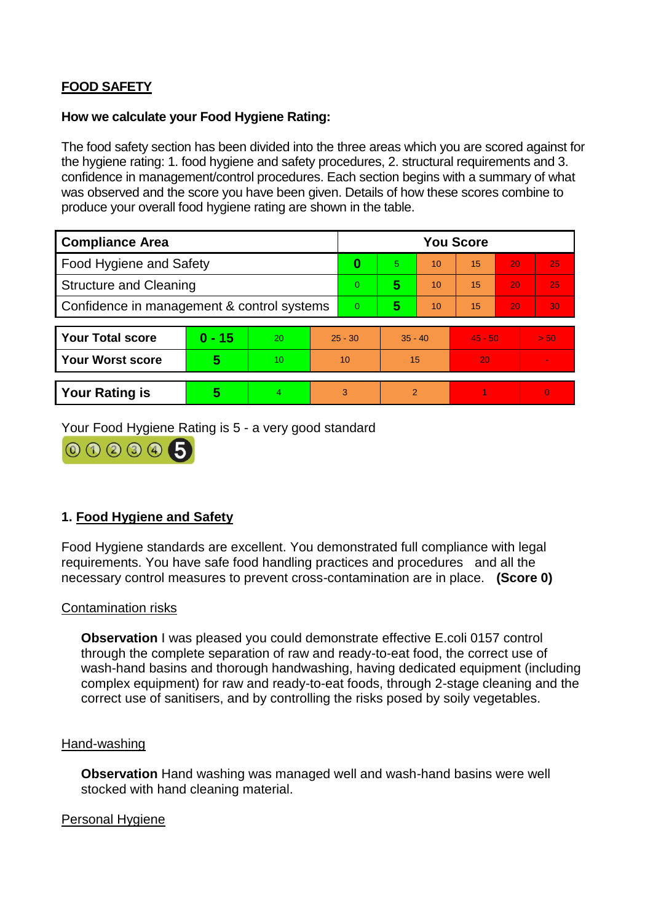# **FOOD SAFETY**

## **How we calculate your Food Hygiene Rating:**

The food safety section has been divided into the three areas which you are scored against for the hygiene rating: 1. food hygiene and safety procedures, 2. structural requirements and 3. confidence in management/control procedures. Each section begins with a summary of what was observed and the score you have been given. Details of how these scores combine to produce your overall food hygiene rating are shown in the table.

| <b>Compliance Area</b>                     |          |                  |           | <b>You Score</b> |                          |    |           |    |                |  |  |
|--------------------------------------------|----------|------------------|-----------|------------------|--------------------------|----|-----------|----|----------------|--|--|
| Food Hygiene and Safety                    |          |                  |           | $\bf{0}$         | 5                        | 10 | 15        | 20 | 25             |  |  |
| <b>Structure and Cleaning</b>              |          |                  |           | $\Omega$         | 5                        | 10 | 15        | 20 | 25             |  |  |
| Confidence in management & control systems |          |                  |           | $\Omega$         | 5                        | 10 | 15        | 20 | 30             |  |  |
|                                            |          |                  |           |                  |                          |    |           |    |                |  |  |
| <b>Your Total score</b>                    | $0 - 15$ | <b>20</b>        | $25 - 30$ |                  | $35 - 40$                |    | $45 - 50$ |    | > 50           |  |  |
| <b>Your Worst score</b>                    | 5        | 10 <sup>10</sup> | 10        |                  | 15                       |    | 20        |    |                |  |  |
|                                            |          |                  |           |                  |                          |    |           |    |                |  |  |
| <b>Your Rating is</b>                      | 5        | 4                | 3         |                  | $\overline{\mathcal{P}}$ |    |           |    | $\overline{0}$ |  |  |

Your Food Hygiene Rating is 5 - a very good standard



# **1. Food Hygiene and Safety**

Food Hygiene standards are excellent. You demonstrated full compliance with legal requirements. You have safe food handling practices and procedures and all the necessary control measures to prevent cross-contamination are in place. **(Score 0)**

### Contamination risks

**Observation** I was pleased you could demonstrate effective E.coli 0157 control through the complete separation of raw and ready-to-eat food, the correct use of wash-hand basins and thorough handwashing, having dedicated equipment (including complex equipment) for raw and ready-to-eat foods, through 2-stage cleaning and the correct use of sanitisers, and by controlling the risks posed by soily vegetables.

### Hand-washing

**Observation** Hand washing was managed well and wash-hand basins were well stocked with hand cleaning material.

### Personal Hygiene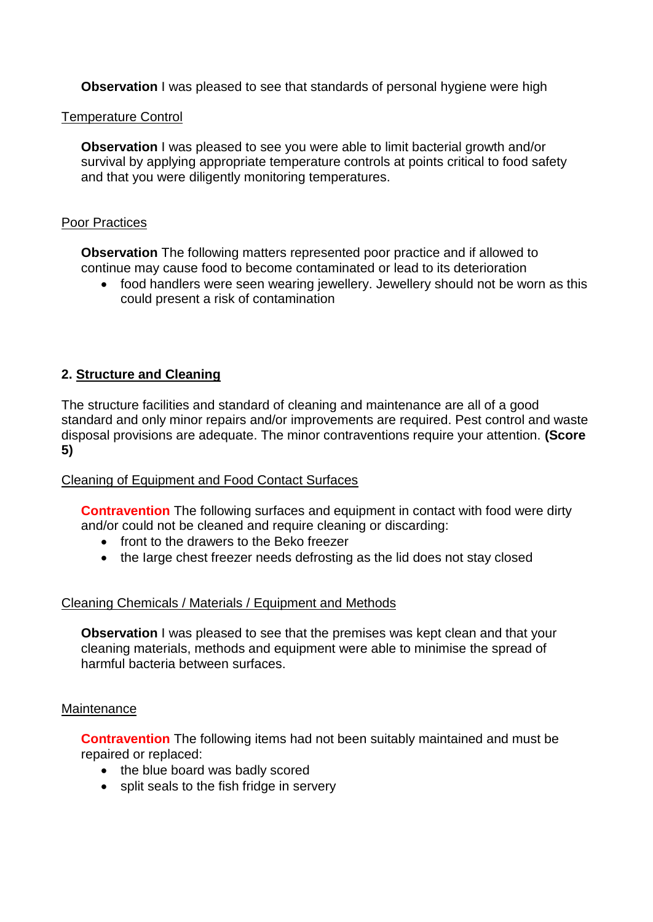**Observation** I was pleased to see that standards of personal hygiene were high

## Temperature Control

**Observation** I was pleased to see you were able to limit bacterial growth and/or survival by applying appropriate temperature controls at points critical to food safety and that you were diligently monitoring temperatures.

## Poor Practices

**Observation** The following matters represented poor practice and if allowed to continue may cause food to become contaminated or lead to its deterioration

 food handlers were seen wearing jewellery. Jewellery should not be worn as this could present a risk of contamination

# **2. Structure and Cleaning**

The structure facilities and standard of cleaning and maintenance are all of a good standard and only minor repairs and/or improvements are required. Pest control and waste disposal provisions are adequate. The minor contraventions require your attention. **(Score 5)**

# Cleaning of Equipment and Food Contact Surfaces

**Contravention** The following surfaces and equipment in contact with food were dirty and/or could not be cleaned and require cleaning or discarding:

- front to the drawers to the Beko freezer
- the large chest freezer needs defrosting as the lid does not stay closed

# Cleaning Chemicals / Materials / Equipment and Methods

**Observation** I was pleased to see that the premises was kept clean and that your cleaning materials, methods and equipment were able to minimise the spread of harmful bacteria between surfaces.

### **Maintenance**

**Contravention** The following items had not been suitably maintained and must be repaired or replaced:

- the blue board was badly scored
- split seals to the fish fridge in servery